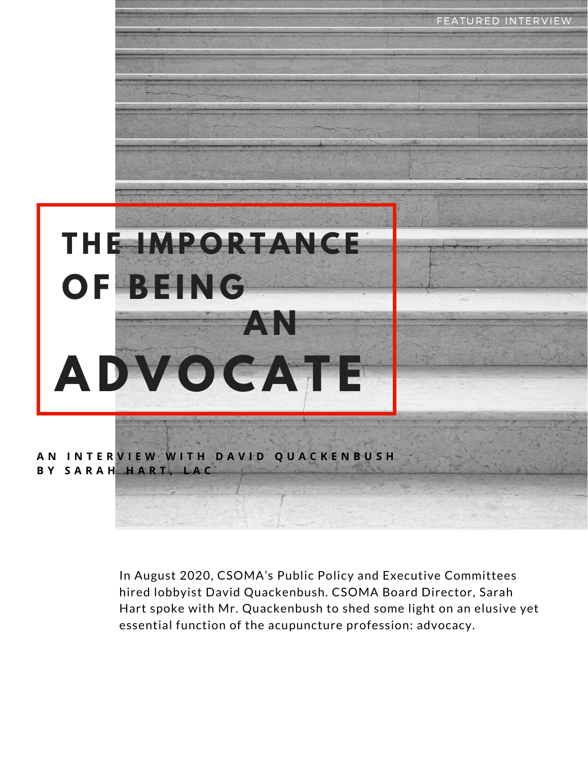

In August 2020, CSOMA's Public Policy and Executive Committees hired lobbyist David Quackenbush. CSOMA Board Director, Sarah Hart spoke with Mr. Quackenbush to shed some light on an elusive yet essential function of the acupuncture profession: advocacy.